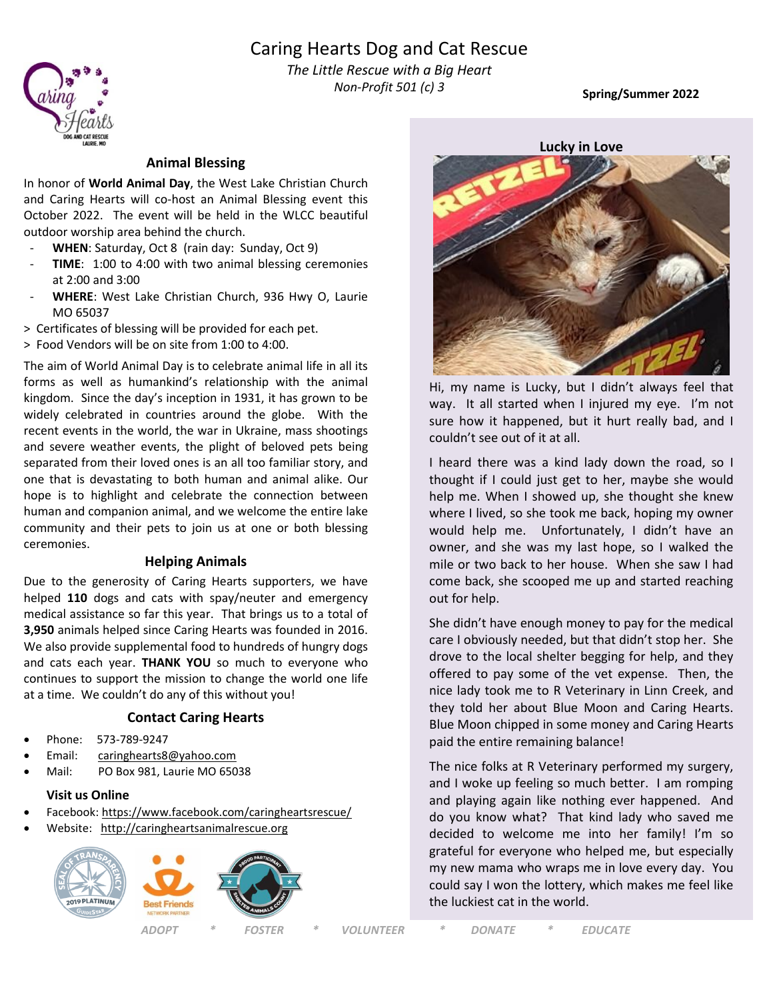## Caring Hearts Dog and Cat Rescue



*Fhe Little Rescue with a Big Heart Non-Profit 501 (c) 3*

**Spring/Summer 2022**

### **Animal Blessing**

In honor of **World Animal Day**, the West Lake Christian Church and Caring Hearts will co-host an Animal Blessing event this October 2022. The event will be held in the WLCC beautiful outdoor worship area behind the church.

- **WHEN**: Saturday, Oct 8 (rain day: Sunday, Oct 9)
- TIME: 1:00 to 4:00 with two animal blessing ceremonies at 2:00 and 3:00
- WHERE: West Lake Christian Church, 936 Hwy O, Laurie MO 65037
- > Certificates of blessing will be provided for each pet.
- > Food Vendors will be on site from 1:00 to 4:00.

The aim of World Animal Day is to celebrate animal life in all its forms as well as humankind's relationship with the animal kingdom. Since the day's inception in 1931, it has grown to be widely celebrated in countries around the globe. With the recent events in the world, the war in Ukraine, mass shootings and severe weather events, the plight of beloved pets being separated from their loved ones is an all too familiar story, and one that is devastating to both human and animal alike. Our hope is to highlight and celebrate the connection between human and companion animal, and we welcome the entire lake community and their pets to join us at one or both blessing ceremonies.

#### **Helping Animals**

Due to the generosity of Caring Hearts supporters, we have helped **110** dogs and cats with spay/neuter and emergency medical assistance so far this year. That brings us to a total of **3,950** animals helped since Caring Hearts was founded in 2016. We also provide supplemental food to hundreds of hungry dogs and cats each year. **THANK YOU** so much to everyone who continues to support the mission to change the world one life at a time. We couldn't do any of this without you!

#### **Contact Caring Hearts**

- Phone: 573-789-9247
- Email: [caringhearts8@yahoo.com](mailto:caringhearts8@yahoo.com)
- Mail: PO Box 981, Laurie MO 65038

#### **Visit us Online**

- Facebook:<https://www.facebook.com/caringheartsrescue/>
- Website: [http://caringheartsanimalrescue.org](http://caringheartsanimalrescue.org/)





Hi, my name is Lucky, but I didn't always feel that way. It all started when I injured my eye. I'm not sure how it happened, but it hurt really bad, and I couldn't see out of it at all.

I heard there was a kind lady down the road, so I thought if I could just get to her, maybe she would help me. When I showed up, she thought she knew where I lived, so she took me back, hoping my owner would help me. Unfortunately, I didn't have an owner, and she was my last hope, so I walked the mile or two back to her house. When she saw I had come back, she scooped me up and started reaching out for help.

She didn't have enough money to pay for the medical care I obviously needed, but that didn't stop her. She drove to the local shelter begging for help, and they offered to pay some of the vet expense. Then, the nice lady took me to R Veterinary in Linn Creek, and they told her about Blue Moon and Caring Hearts. Blue Moon chipped in some money and Caring Hearts paid the entire remaining balance!

The nice folks at R Veterinary performed my surgery, and I woke up feeling so much better. I am romping and playing again like nothing ever happened. And do you know what? That kind lady who saved me decided to welcome me into her family! I'm so grateful for everyone who helped me, but especially my new mama who wraps me in love every day. You could say I won the lottery, which makes me feel like the luckiest cat in the world.